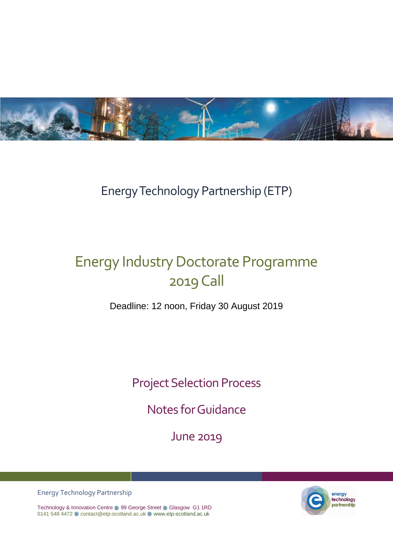

## Energy Technology Partnership (ETP)

# Energy Industry Doctorate Programme 2019Call

Deadline: 12 noon, Friday 30 August 2019

Project Selection Process

Notes for Guidance

June 2019



energy technology partnership

Technology & Innovation Centre 8 99 George Street 8 Glasgow G1 1RD 0141 548 4472 a contact@etp-scotland.ac.uk a [www.etp-scotland.ac.uk](http://www.etp-scotland.ac.uk/)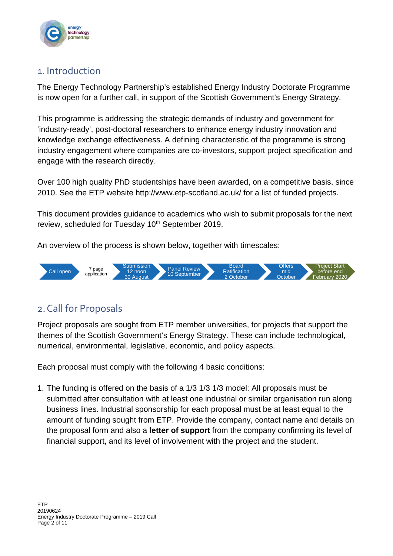

### 1. Introduction

The Energy Technology Partnership's established Energy Industry Doctorate Programme is now open for a further call, in support of the Scottish Government's Energy Strategy.

This programme is addressing the strategic demands of industry and government for 'industry-ready', post-doctoral researchers to enhance energy industry innovation and knowledge exchange effectiveness. A defining characteristic of the programme is strong industry engagement where companies are co-investors, support project specification and engage with the research directly.

Over 100 high quality PhD studentships have been awarded, on a competitive basis, since 2010. See the ETP website http://www.etp-scotland.ac.uk/ for a list of funded projects.

This document provides guidance to academics who wish to submit proposals for the next review, scheduled for Tuesday 10<sup>th</sup> September 2019.

An overview of the process is shown below, together with timescales:



### 2.Call for Proposals

Project proposals are sought from ETP member universities, for projects that support the themes of the Scottish Government's Energy Strategy. These can include technological, numerical, environmental, legislative, economic, and policy aspects.

Each proposal must comply with the following 4 basic conditions:

1. The funding is offered on the basis of a 1/3 1/3 1/3 model: All proposals must be submitted after consultation with at least one industrial or similar organisation run along business lines. Industrial sponsorship for each proposal must be at least equal to the amount of funding sought from ETP. Provide the company, contact name and details on the proposal form and also a **letter of support** from the company confirming its level of financial support, and its level of involvement with the project and the student.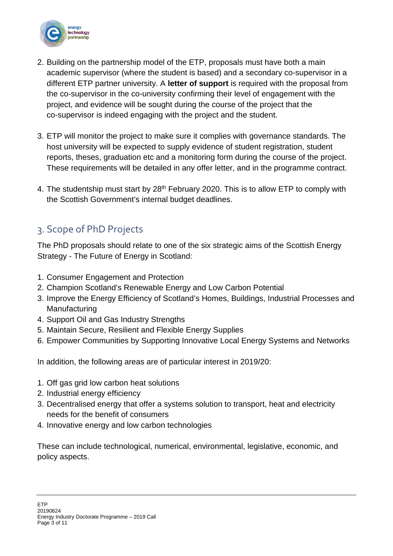

- 2. Building on the partnership model of the ETP, proposals must have both a main academic supervisor (where the student is based) and a secondary co-supervisor in a different ETP partner university. A **letter of support** is required with the proposal from the co-supervisor in the co-university confirming their level of engagement with the project, and evidence will be sought during the course of the project that the co-supervisor is indeed engaging with the project and the student.
- 3. ETP will monitor the project to make sure it complies with governance standards. The host university will be expected to supply evidence of student registration, student reports, theses, graduation etc and a monitoring form during the course of the project. These requirements will be detailed in any offer letter, and in the programme contract.
- 4. The studentship must start by 28<sup>th</sup> February 2020. This is to allow ETP to comply with the Scottish Government's internal budget deadlines.

### 3. Scope of PhD Projects

The PhD proposals should relate to one of the six strategic aims of the Scottish Energy Strategy - The Future of Energy in Scotland:

- 1. Consumer Engagement and Protection
- 2. Champion Scotland's Renewable Energy and Low Carbon Potential
- 3. Improve the Energy Efficiency of Scotland's Homes, Buildings, Industrial Processes and **Manufacturing**
- 4. Support Oil and Gas Industry Strengths
- 5. Maintain Secure, Resilient and Flexible Energy Supplies
- 6. Empower Communities by Supporting Innovative Local Energy Systems and Networks

In addition, the following areas are of particular interest in 2019/20:

- 1. Off gas grid low carbon heat solutions
- 2. Industrial energy efficiency
- 3. Decentralised energy that offer a systems solution to transport, heat and electricity needs for the benefit of consumers
- 4. Innovative energy and low carbon technologies

These can include technological, numerical, environmental, legislative, economic, and policy aspects.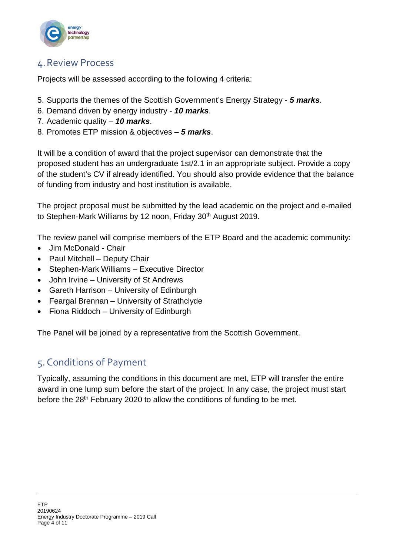

### 4.Review Process

Projects will be assessed according to the following 4 criteria:

- 5. Supports the themes of the Scottish Government's Energy Strategy *5 marks*.
- 6. Demand driven by energy industry *10 marks*.
- 7. Academic quality *10 marks*.
- 8. Promotes ETP mission & objectives *5 marks*.

It will be a condition of award that the project supervisor can demonstrate that the proposed student has an undergraduate 1st/2.1 in an appropriate subject. Provide a copy of the student's CV if already identified. You should also provide evidence that the balance of funding from industry and host institution is available.

The project proposal must be submitted by the lead academic on the project and e-mailed to Stephen-Mark Williams by 12 noon, Friday 30<sup>th</sup> August 2019.

The review panel will comprise members of the ETP Board and the academic community:

- Jim McDonald Chair
- Paul Mitchell Deputy Chair
- Stephen-Mark Williams Executive Director
- John Irvine University of St Andrews
- Gareth Harrison University of Edinburgh
- Feargal Brennan University of Strathclyde
- Fiona Riddoch University of Edinburgh

The Panel will be joined by a representative from the Scottish Government.

### 5.Conditions of Payment

Typically, assuming the conditions in this document are met, ETP will transfer the entire award in one lump sum before the start of the project. In any case, the project must start before the 28th February 2020 to allow the conditions of funding to be met.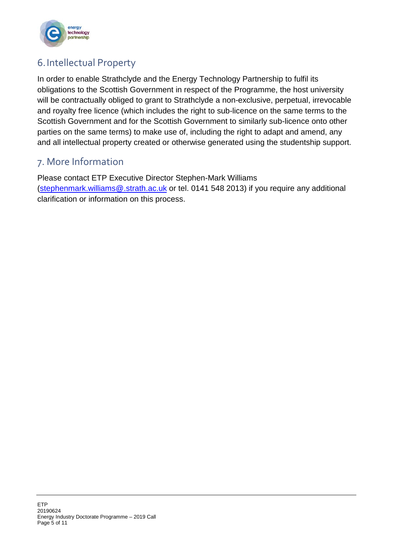

### 6.Intellectual Property

In order to enable Strathclyde and the Energy Technology Partnership to fulfil its obligations to the Scottish Government in respect of the Programme, the host university will be contractually obliged to grant to Strathclyde a non-exclusive, perpetual, irrevocable and royalty free licence (which includes the right to sub-licence on the same terms to the Scottish Government and for the Scottish Government to similarly sub-licence onto other parties on the same terms) to make use of, including the right to adapt and amend, any and all intellectual property created or otherwise generated using the studentship support.

### 7. More Information

Please contact ETP Executive Director Stephen-Mark Williams [\(stephenmark.williams@.strath.ac.uk](mailto:stephenmark.williams@.strath.ac.uk) or tel. 0141 548 2013) if you require any additional clarification or information on this process.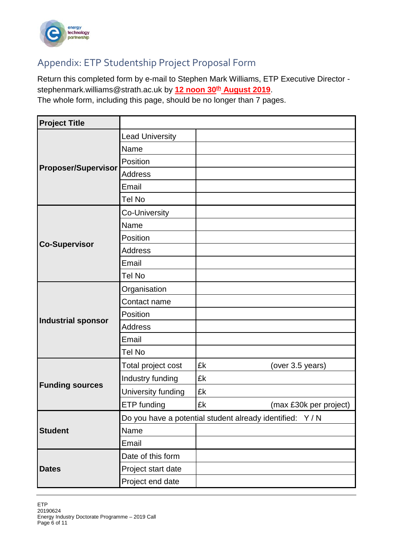

### Appendix: ETP Studentship Project Proposal Form

Return this completed form by e-mail to Stephen Mark Williams, ETP Executive Director [stephenmark.williams@strath.ac.uk](mailto:stephenmark.williams@strath.ac.uk) by **12 noon 30th August 2019**.

The whole form, including this page, should be no longer than 7 pages.

| <b>Project Title</b>       |                                                           |                              |  |
|----------------------------|-----------------------------------------------------------|------------------------------|--|
| <b>Proposer/Supervisor</b> | <b>Lead University</b>                                    |                              |  |
|                            | Name                                                      |                              |  |
|                            | Position                                                  |                              |  |
|                            | <b>Address</b>                                            |                              |  |
|                            | Email                                                     |                              |  |
|                            | Tel No                                                    |                              |  |
| <b>Co-Supervisor</b>       | Co-University                                             |                              |  |
|                            | Name                                                      |                              |  |
|                            | Position                                                  |                              |  |
|                            | <b>Address</b>                                            |                              |  |
|                            | Email                                                     |                              |  |
|                            | Tel No                                                    |                              |  |
| <b>Industrial sponsor</b>  | Organisation                                              |                              |  |
|                            | Contact name                                              |                              |  |
|                            | Position                                                  |                              |  |
|                            | <b>Address</b>                                            |                              |  |
|                            | Email                                                     |                              |  |
|                            | Tel No                                                    |                              |  |
| <b>Funding sources</b>     | Total project cost                                        | £k<br>(over 3.5 years)       |  |
|                            | Industry funding                                          | £k                           |  |
|                            | University funding                                        | £k                           |  |
|                            | ETP funding                                               | £k<br>(max £30k per project) |  |
| <b>Student</b>             | Do you have a potential student already identified: Y / N |                              |  |
|                            | Name                                                      |                              |  |
|                            | Email                                                     |                              |  |
| <b>Dates</b>               | Date of this form                                         |                              |  |
|                            | Project start date                                        |                              |  |
|                            | Project end date                                          |                              |  |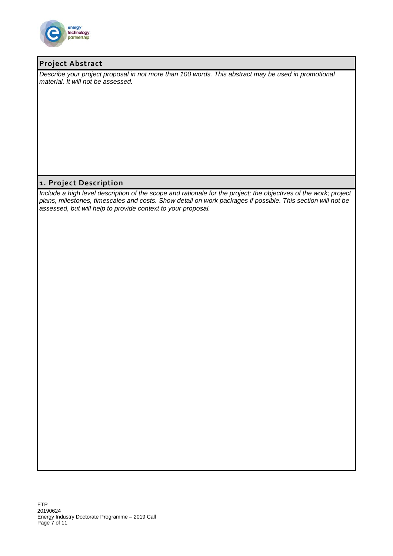

#### **Project Abstract**

*Describe your project proposal in not more than 100 words. This abstract may be used in promotional material. It will not be assessed.*

#### **1. Project Description**

*Include a high level description of the scope and rationale for the project; the objectives of the work; project plans, milestones, timescales and costs. Show detail on work packages if possible. This section will not be assessed, but will help to provide context to your proposal.*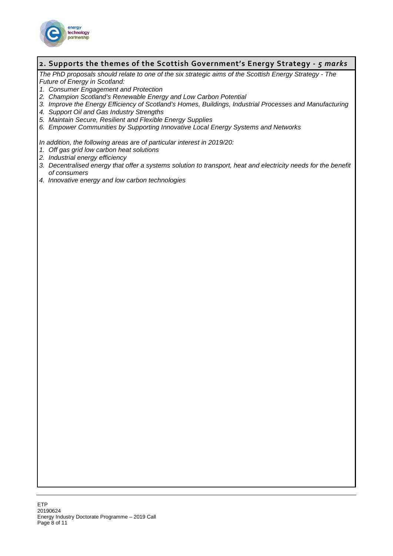

#### **2. Supports the themes of the Scottish Government's Energy Strategy -** *5 marks*

*The PhD proposals should relate to one of the six strategic aims of the Scottish Energy Strategy - The Future of Energy in Scotland:*

- *1. Consumer Engagement and Protection*
- *2. Champion Scotland's Renewable Energy and Low Carbon Potential*
- *3. Improve the Energy Efficiency of Scotland's Homes, Buildings, Industrial Processes and Manufacturing*
- *4. Support Oil and Gas Industry Strengths*
- *5. Maintain Secure, Resilient and Flexible Energy Supplies*
- *6. Empower Communities by Supporting Innovative Local Energy Systems and Networks*

*In addition, the following areas are of particular interest in 2019/20:*

- *1. Off gas grid low carbon heat solutions*
- *2. Industrial energy efficiency*
- *3. Decentralised energy that offer a systems solution to transport, heat and electricity needs for the benefit of consumers*
- *4. Innovative energy and low carbon technologies*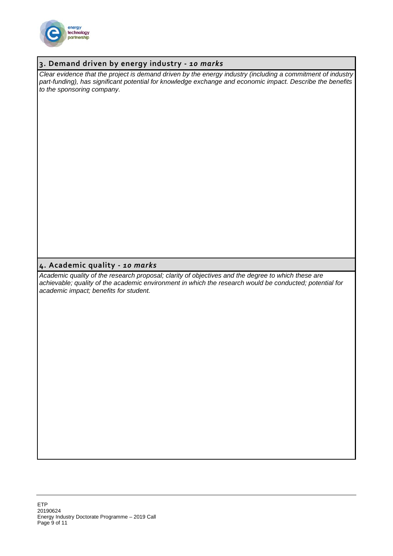

#### **3. Demand driven by energy industry -** *10 marks*

*Clear evidence that the project is demand driven by the energy industry (including a commitment of industry part-funding), has significant potential for knowledge exchange and economic impact. Describe the benefits to the sponsoring company.*

#### **4. Academic quality -** *10 marks*

*Academic quality of the research proposal; clarity of objectives and the degree to which these are achievable; quality of the academic environment in which the research would be conducted; potential for academic impact; benefits for student.*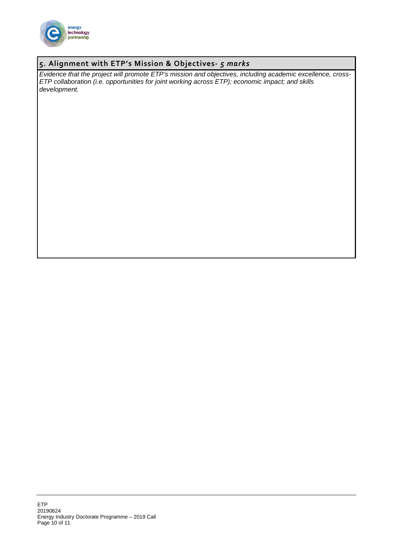

#### **5. Alignment with ETP's Mission & Objectives-** *5 marks*

*Evidence that the project will promote ETP's mission and objectives, including academic excellence, cross-ETP collaboration (i.e. opportunities for joint working across ETP); economic impact; and skills development.*